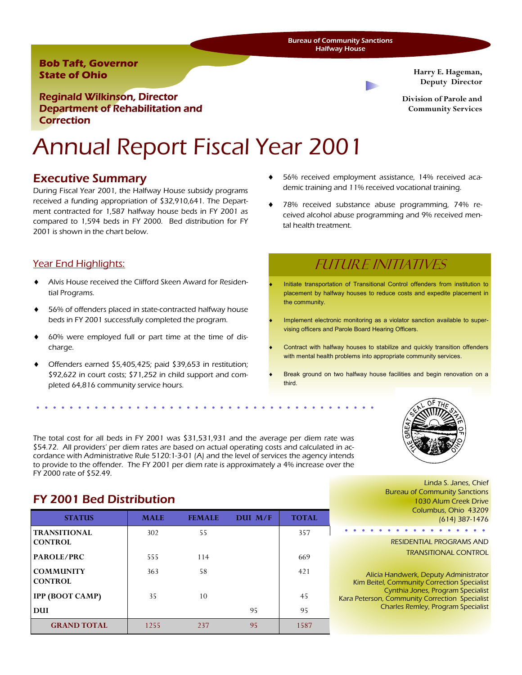Bureau of Community Sanctions Halfway House

### **Bob Taft, Governor State of Ohio**

**Harry E. Hageman, Deputy Director** 

**Division of Parole and Community Services** 

Reginald Wilkinson, Director Department of Rehabilitation and **Correction** 

# Annual Report Fiscal Year 2001

## Executive Summary

During Fiscal Year 2001, the Halfway House subsidy programs received a funding appropriation of \$32,910,641. The Department contracted for 1,587 halfway house beds in FY 2001 as compared to 1,594 beds in FY 2000. Bed distribution for FY 2001 is shown in the chart below.

## Year End Highlights:

- Alvis House received the Clifford Skeen Award for Residential Programs.
- 56% of offenders placed in state-contracted halfway house beds in FY 2001 successfully completed the program.
- 60% were employed full or part time at the time of discharge.
- Offenders earned  $$5,405,425$ ; paid  $$39,653$  in restitution; \$92,622 in court costs; \$71,252 in child support and completed 64,816 community service hours.
- 56% received employment assistance, 14% received academic training and 11% received vocational training.
- 78% received substance abuse programming, 74% received alcohol abuse programming and 9% received mental health treatment.

## Future Initiatives

- Initiate transportation of Transitional Control offenders from institution to placement by halfway houses to reduce costs and expedite placement in the community.
- Implement electronic monitoring as a violator sanction available to supervising officers and Parole Board Hearing Officers.
- Contract with halfway houses to stabilize and quickly transition offenders with mental health problems into appropriate community services.
- Break ground on two halfway house facilities and begin renovation on a third.



FY 2001 Bed Distribution

FY 2000 rate of \$52.49.

| <b>STATUS</b>                         | <b>MALE</b> | <b>FEMALE</b> | DUI M/F | <b>TOTAL</b> |
|---------------------------------------|-------------|---------------|---------|--------------|
| <b>TRANSITIONAL</b><br><b>CONTROL</b> | 302         | 55            |         | 357          |
| PAROLE/PRC                            | 555         | 114           |         | 669          |
| <b>COMMUNITY</b><br><b>CONTROL</b>    | 363         | 58            |         | 421          |
| <b>IPP (BOOT CAMP)</b>                | 35          | 10            |         | 45           |
| DUI                                   |             |               | 95      | 95           |
| <b>GRAND TOTAL</b>                    | 1255        | 237           | 95      | 1587         |

The total cost for all beds in FY 2001 was \$31,531,931 and the average per diem rate was \$54.72. All providers' per diem rates are based on actual operating costs and calculated in accordance with Administrative Rule 5120:1-3-01 (A) and the level of services the agency intends to provide to the offender. The FY 2001 per diem rate is approximately a 4% increase over the

> Linda S. Janes, Chief Bureau of Community Sanctions 1030 Alum Creek Drive Columbus, Ohio 43209 (614) 387-1476

RESIDENTIAL PROGRAMS AND TRANSITIONAL CONTROL

 $\begin{array}{cccccccccccccc} \bullet & \bullet & \bullet & \bullet & \bullet & \bullet & \bullet & \bullet \end{array}$ 

Alicia Handwerk, Deputy Administrator Kim Beitel, Community Correction Specialist Cynthia Jones, Program Specialist Kara Peterson, Community Correction Specialist Charles Remley, Program Specialist

. . . . . . . . . . .